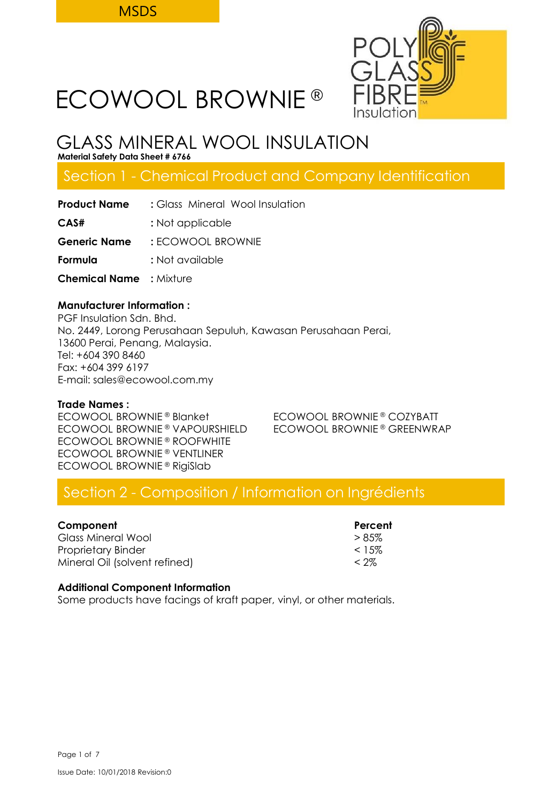

# GLASS MINERAL WOOL INSULATION

**Material Safety Data Sheet # 6766**

## Section 1 - Chemical Product and Company Identification

| <b>Product Name</b>            | : Glass Mineral Wool Insulation |  |  |
|--------------------------------|---------------------------------|--|--|
| CAS#                           | : Not applicable                |  |  |
| Generic Name                   | : ECOWOOL BROWNIE               |  |  |
| Formula                        | : Not available                 |  |  |
| <b>Chemical Name</b> : Mixture |                                 |  |  |
|                                |                                 |  |  |

## **Manufacturer Information :**

PGF Insulation Sdn. Bhd. No. 2449, Lorong Perusahaan Sepuluh, Kawasan Perusahaan Perai, 13600 Perai, Penang, Malaysia. Tel: +604 390 8460 Fax: +604 399 6197 E-mail: sales@ecowool.com.my

## **Trade Names :**

ECOWOOL BROWNIE® Blanket ECOWOOL BROWNIE® COZYBATT ECOWOOL BROWNIE ® VAPOURSHIELD ECOWOOL BROWNIE ® GREENWRAP ECOWOOL BROWNIE ® ROOFWHITE ECOWOOL BROWNIE ® VENTLINER ECOWOOL BROWNIE ® RigiSlab

## Section 2 - Composition / Information on Ingrédients

| Component                     | Percent   |
|-------------------------------|-----------|
| Glass Mineral Wool            | $> 8.5\%$ |
| Proprietary Binder            | $< 1.5\%$ |
| Mineral Oil (solvent refined) | $<$ 2%    |

## **Additional Component Information**

Some products have facings of kraft paper, vinyl, or other materials.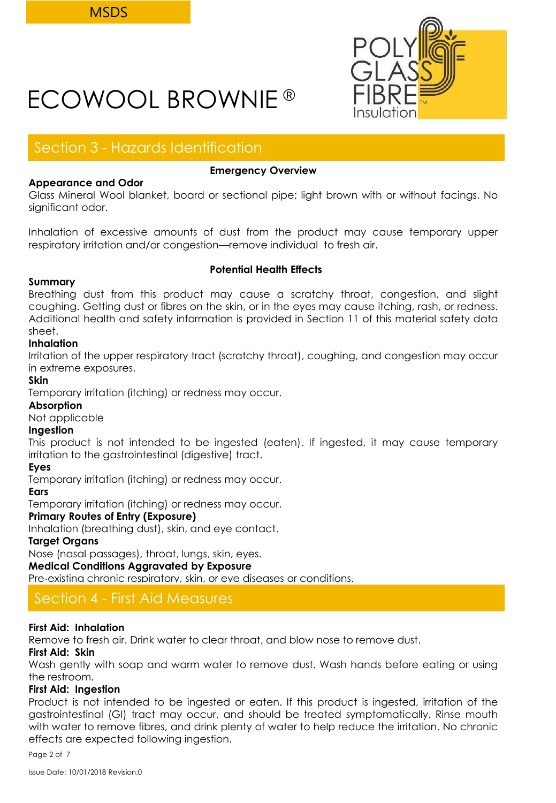

## Section 3 - Hazards Identification

## **Appearance and Odor**

## **Emergency Overview**

Glass Mineral Wool blanket, board or sectional pipe; light brown with or without facings. No significant odor.

Inhalation of excessive amounts of dust from the product may cause temporary upper respiratory irritation and/or congestion—remove individual to fresh air.

## **Summary**

## **Potential Health Effects**

Breathing dust from this product may cause a scratchy throat, congestion, and slight coughing. Getting dust or fibres on the skin, or in the eyes may cause itching, rash, or redness. Additional health and safety information is provided in Section 11 of this material safety data sheet.

## **Inhalation**

Irritation of the upper respiratory tract (scratchy throat), coughing, and congestion may occur in extreme exposures.

## **Skin**

Temporary irritation (itching) or redness may occur.

## **Absorption**

Not applicable

## **Ingestion**

This product is not intended to be ingested (eaten). If ingested, it may cause temporary irritation to the gastrointestinal (digestive) tract.

## **Eyes**

Temporary irritation (itching) or redness may occur.

## **Ears**

Temporary irritation (itching) or redness may occur.

## **Primary Routes of Entry (Exposure)**

Inhalation (breathing dust), skin, and eye contact.

## **Target Organs**

Nose (nasal passages), throat, lungs, skin, eyes.

## **Medical Conditions Aggravated by Exposure**

Pre-existing chronic respiratory, skin, or eye diseases or conditions.

## Section 4 - First Aid Measures

## **First Aid: Inhalation**

Remove to fresh air. Drink water to clear throat, and blow nose to remove dust.

## **First Aid: Skin**

Wash gently with soap and warm water to remove dust. Wash hands before eating or using the restroom.

## **First Aid: Ingestion**

Product is not intended to be ingested or eaten. If this product is ingested, irritation of the gastrointestinal (GI) tract may occur, and should be treated symptomatically. Rinse mouth with water to remove fibres, and drink plenty of water to help reduce the irritation. No chronic effects are expected following ingestion.

Page 2 of 7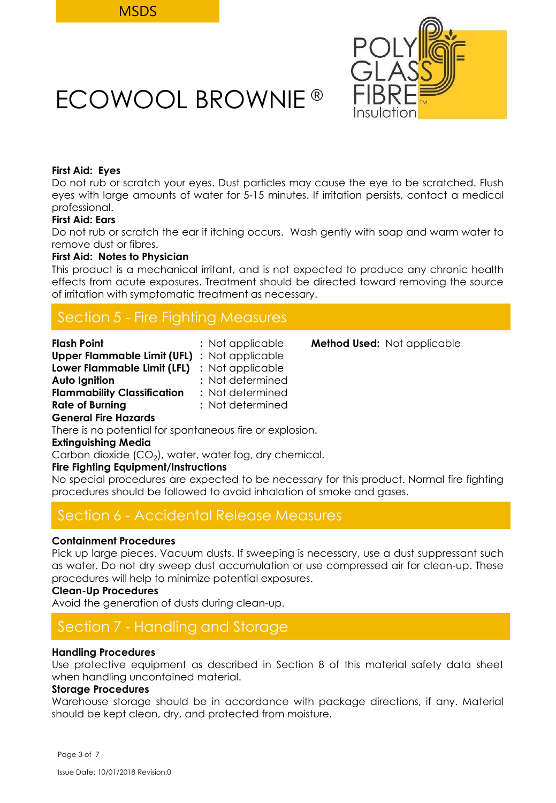

## **First Aid: Eyes**

Do not rub or scratch your eyes. Dust particles may cause the eye to be scratched. Flush eyes with large amounts of water for 5-15 minutes. If irritation persists, contact a medical professional.

## **First Aid: Ears**

Do not rub or scratch the ear if itching occurs. Wash gently with soap and warm water to remove dust or fibres.

## **First Aid: Notes to Physician**

This product is a mechanical irritant, and is not expected to produce any chronic health effects from acute exposures. Treatment should be directed toward removing the source of irritation with symptomatic treatment as necessary.

## Section 5 - Fire Fighting Measures

| <b>Flash Point</b>                                  | : Not applicable | <b>Method Used:</b> Not applicable |
|-----------------------------------------------------|------------------|------------------------------------|
| <b>Upper Flammable Limit (UFL)</b> : Not applicable |                  |                                    |
| Lower Flammable Limit (LFL) : Not applicable        |                  |                                    |
| Auto Ignition                                       | : Not determined |                                    |
| <b>Flammability Classification</b>                  | : Not determined |                                    |
| <b>Rate of Burning</b>                              | : Not determined |                                    |
| <b>General Fire Hazards</b>                         |                  |                                    |

There is no potential for spontaneous fire or explosion.

## **Extinguishing Media**

Carbon dioxide (CO $_2$ ), water, water fog, dry chemical.

## **Fire Fighting Equipment/Instructions**

No special procedures are expected to be necessary for this product. Normal fire fighting procedures should be followed to avoid inhalation of smoke and gases.

## Section 6 - Accidental Release Measures

## **Containment Procedures**

Pick up large pieces. Vacuum dusts. If sweeping is necessary, use a dust suppressant such as water. Do not dry sweep dust accumulation or use compressed air for clean-up. These procedures will help to minimize potential exposures.

## **Clean-Up Procedures**

Avoid the generation of dusts during clean-up.

## Section 7 - Handling and Storage

## **Handling Procedures**

Use protective equipment as described in Section 8 of this material safety data sheet when handling uncontained material.

## **Storage Procedures**

Warehouse storage should be in accordance with package directions, if any. Material should be kept clean, dry, and protected from moisture.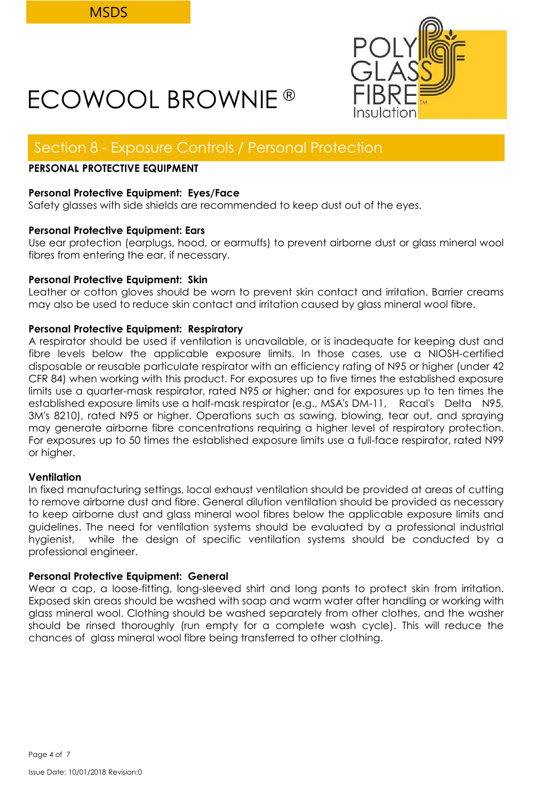

## Section 8 - Exposure Controls / Personal Protection

## **PERSONAL PROTECTIVE EQUIPMENT**

## **Personal Protective Equipment: Eyes/Face**

Safety glasses with side shields are recommended to keep dust out of the eyes.

## **Personal Protective Equipment: Ears**

Use ear protection (earplugs, hood, or earmuffs) to prevent airborne dust or glass mineral wool fibres from entering the ear, if necessary.

## **Personal Protective Equipment: Skin**

Leather or cotton gloves should be worn to prevent skin contact and irritation. Barrier creams may also be used to reduce skin contact and irritation caused by glass mineral wool fibre.

## **Personal Protective Equipment: Respiratory**

A respirator should be used if ventilation is unavailable, or is inadequate for keeping dust and fibre levels below the applicable exposure limits. In those cases, use a NIOSH-certified disposable or reusable particulate respirator with an efficiency rating of N95 or higher (under 42 CFR 84) when working with this product. For exposures up to five times the established exposure limits use a quarter-mask respirator, rated N95 or higher; and for exposures up to ten times the established exposure limits use a half-mask respirator (e.g., MSA's DM-11, Racal's Delta N95, 3M's 8210), rated N95 or higher. Operations such as sawing, blowing, tear out, and spraying may generate airborne fibre concentrations requiring a higher level of respiratory protection. For exposures up to 50 times the established exposure limits use a full-face respirator, rated N99 or higher.

## **Ventilation**

In fixed manufacturing settings, local exhaust ventilation should be provided at areas of cutting to remove airborne dust and fibre. General dilution ventilation should be provided as necessary to keep airborne dust and glass mineral wool fibres below the applicable exposure limits and guidelines. The need for ventilation systems should be evaluated by a professional industrial hygienist, while the design of specific ventilation systems should be conducted by a professional engineer.

## **Personal Protective Equipment: General**

Wear a cap, a loose-fitting, long-sleeved shirt and long pants to protect skin from irritation. Exposed skin areas should be washed with soap and warm water after handling or working with glass mineral wool. Clothing should be washed separately from other clothes, and the washer should be rinsed thoroughly (run empty for a complete wash cycle). This will reduce the chances of glass mineral wool fibre being transferred to other clothing.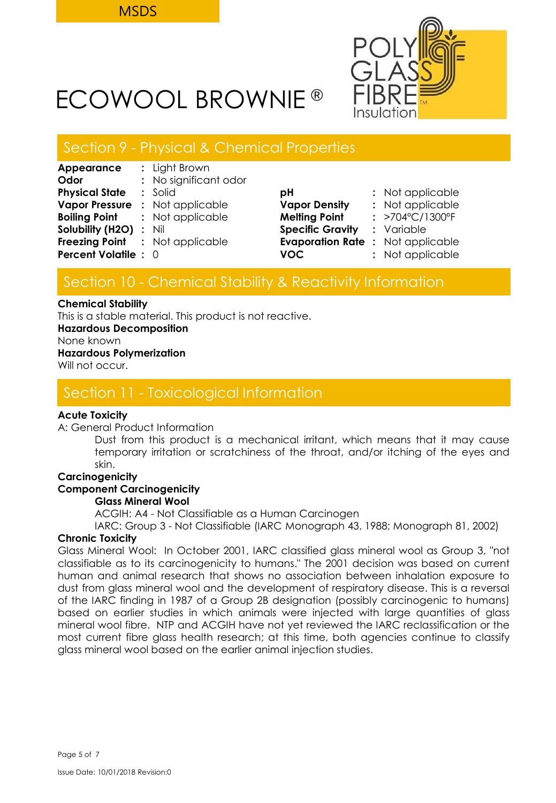

## Section 9 - Physical & Chemical Properties

| Appearance                  | : Light Brown                          |                                         |                                 |
|-----------------------------|----------------------------------------|-----------------------------------------|---------------------------------|
| Odor                        | : No significant odor                  |                                         |                                 |
| <b>Physical State</b>       | $:$ Solid                              | рH                                      | : Not applicable                |
| <b>Vapor Pressure</b>       | : Not applicable                       | <b>Vapor Density</b>                    | : Not applicable                |
|                             | <b>Boiling Point : Not applicable</b>  | <b>Melting Point</b>                    | : $>704^{\circ}C/1300^{\circ}F$ |
| Solubility (H2O) : Nil      |                                        | <b>Specific Gravity</b>                 | : Variable                      |
|                             | <b>Freezing Point :</b> Not applicable | <b>Evaporation Rate: Not applicable</b> |                                 |
| <b>Percent Volatile : 0</b> |                                        | <b>VOC</b>                              | : Not applicable                |
|                             |                                        |                                         |                                 |

| рH                      | : Not applicable |
|-------------------------|------------------|
| <b>Vapor Density</b>    | : Not applicable |
| <b>Melting Point</b>    | : >704°C/1300°F  |
| <b>Specific Gravity</b> | : Variable       |
| <b>Evaporation Rate</b> | : Not applicable |
| VOC.                    | : Not applicable |

## Section 10 - Chemical Stability & Reactivity Information

#### **Chemical Stability**

This is a stable material. This product is not reactive.

**Hazardous Decomposition**

None known

## **Hazardous Polymerization**

Will not occur.

## Section 11 - Toxicological Information

## **Acute Toxicity**

A: General Product Information

Dust from this product is a mechanical irritant, which means that it may cause temporary irritation or scratchiness of the throat, and/or itching of the eyes and skin.

## **Carcinogenicity**

## **Component Carcinogenicity**

## **Glass Mineral Wool**

ACGIH: A4 - Not Classifiable as a Human Carcinogen

IARC: Group 3 - Not Classifiable (IARC Monograph 43, 1988; Monograph 81, 2002)

## **Chronic Toxicity**

Glass Mineral Wool: In October 2001, IARC classified glass mineral wool as Group 3, "not classifiable as to its carcinogenicity to humans." The 2001 decision was based on current human and animal research that shows no association between inhalation exposure to dust from glass mineral wool and the development of respiratory disease. This is a reversal of the IARC finding in 1987 of a Group 2B designation (possibly carcinogenic to humans) based on earlier studies in which animals were injected with large quantities of glass mineral wool fibre. NTP and ACGIH have not yet reviewed the IARC reclassification or the most current fibre glass health research; at this time, both agencies continue to classify glass mineral wool based on the earlier animal injection studies.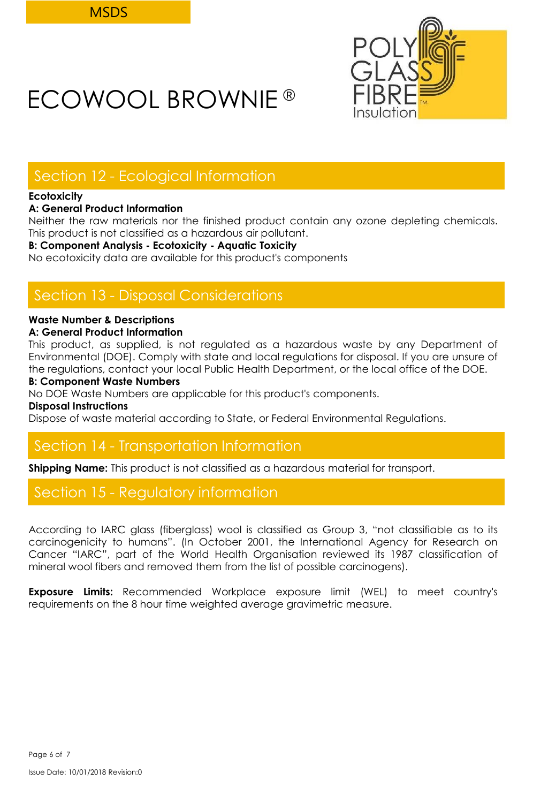

## Section 12 - Ecological Information

## **Ecotoxicity**

## **A: General Product Information**

Neither the raw materials nor the finished product contain any ozone depleting chemicals. This product is not classified as a hazardous air pollutant.

## **B: Component Analysis - Ecotoxicity - Aquatic Toxicity**

No ecotoxicity data are available for this product's components

## Section 13 - Disposal Considerations

## **Waste Number & Descriptions**

## **A: General Product Information**

This product, as supplied, is not regulated as a hazardous waste by any Department of Environmental (DOE). Comply with state and local regulations for disposal. If you are unsure of the regulations, contact your local Public Health Department, or the local office of the DOE.

## **B: Component Waste Numbers**

No DOE Waste Numbers are applicable for this product's components.

**Disposal Instructions**

Dispose of waste material according to State, or Federal Environmental Regulations.

## Section 14 - Transportation Information

**Shipping Name:** This product is not classified as a hazardous material for transport.

## Section 15 - Regulatory information

According to IARC glass (fiberglass) wool is classified as Group 3, "not classifiable as to its carcinogenicity to humans". (In October 2001, the International Agency for Research on Cancer "IARC", part of the World Health Organisation reviewed its 1987 classification of mineral wool fibers and removed them from the list of possible carcinogens).

**Exposure Limits:** Recommended Workplace exposure limit (WEL) to meet country's requirements on the 8 hour time weighted average gravimetric measure.